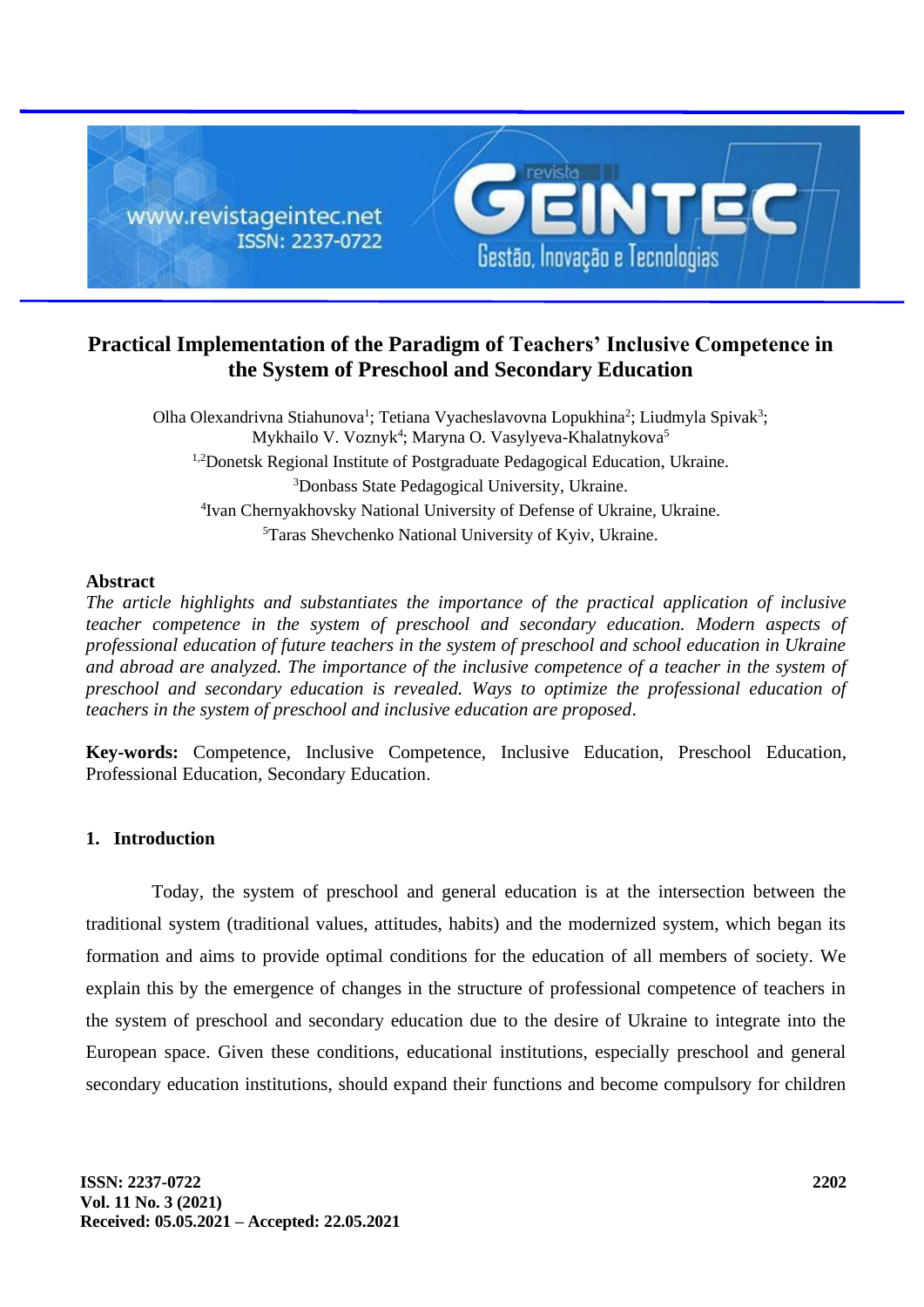

# **Practical Implementation of the Paradigm of Teachers' Inclusive Competence in the System of Preschool and Secondary Education**

Olha Olexandrivna Stiahunova<sup>1</sup>; Tetiana Vyacheslavovna Lopukhina<sup>2</sup>; Liudmyla Spivak<sup>3</sup>; Mykhailo V. Voznyk<sup>4</sup>; Maryna O. Vasylyeva-Khalatnykova<sup>5</sup> 1,2Donetsk Regional Institute of Postgraduate Pedagogical Education, Ukraine. <sup>3</sup>Donbass State Pedagogical University, Ukraine. 4 Ivan Chernyakhovsky National University of Defense of Ukraine, Ukraine. <sup>5</sup>Taras Shevchenko National University of Kyiv, Ukraine.

#### **Abstract**

*The article highlights and substantiates the importance of the practical application of inclusive teacher competence in the system of preschool and secondary education. Modern aspects of professional education of future teachers in the system of preschool and school education in Ukraine and abroad are analyzed. The importance of the inclusive competence of a teacher in the system of preschool and secondary education is revealed. Ways to optimize the professional education of teachers in the system of preschool and inclusive education are proposed*.

**Key-words:** Competence, Inclusive Competence, Inclusive Education, Preschool Education, Professional Education, Secondary Education.

### **1. Introduction**

Today, the system of preschool and general education is at the intersection between the traditional system (traditional values, attitudes, habits) and the modernized system, which began its formation and aims to provide optimal conditions for the education of all members of society. We explain this by the emergence of changes in the structure of professional competence of teachers in the system of preschool and secondary education due to the desire of Ukraine to integrate into the European space. Given these conditions, educational institutions, especially preschool and general secondary education institutions, should expand their functions and become compulsory for children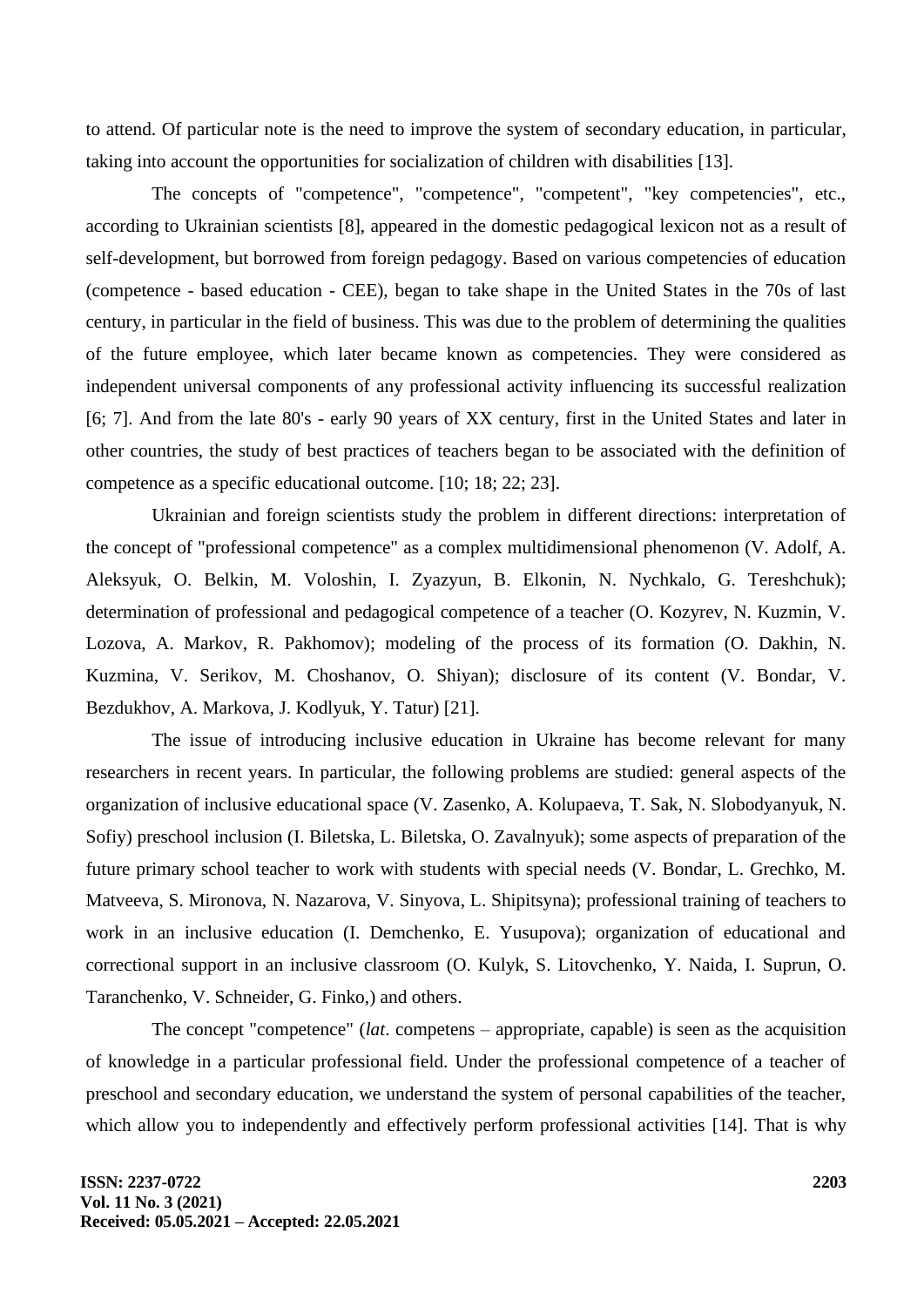to attend. Of particular note is the need to improve the system of secondary education, in particular, taking into account the opportunities for socialization of children with disabilities [13].

The concepts of "competence", "competence", "competent", "key competencies", etc., according to Ukrainian scientists [8], appeared in the domestic pedagogical lexicon not as a result of self-development, but borrowed from foreign pedagogy. Based on various competencies of education (competence - based education - CEE), began to take shape in the United States in the 70s of last century, in particular in the field of business. This was due to the problem of determining the qualities of the future employee, which later became known as competencies. They were considered as independent universal components of any professional activity influencing its successful realization [6; 7]. And from the late 80's - early 90 years of XX century, first in the United States and later in other countries, the study of best practices of teachers began to be associated with the definition of competence as a specific educational outcome. [10; 18; 22; 23].

Ukrainian and foreign scientists study the problem in different directions: interpretation of the concept of "professional competence" as a complex multidimensional phenomenon (V. Adolf, A. Aleksyuk, O. Belkin, M. Voloshin, I. Zyazyun, B. Elkonin, N. Nychkalo, G. Tereshchuk); determination of professional and pedagogical competence of a teacher (O. Kozyrev, N. Kuzmin, V. Lozova, A. Markov, R. Pakhomov); modeling of the process of its formation (O. Dakhin, N. Kuzmina, V. Serikov, M. Choshanov, O. Shiyan); disclosure of its content (V. Bondar, V. Bezdukhov, A. Markova, J. Kodlyuk, Y. Tatur) [21].

The issue of introducing inclusive education in Ukraine has become relevant for many researchers in recent years. In particular, the following problems are studied: general aspects of the organization of inclusive educational space (V. Zasenko, A. Kolupaeva, T. Sak, N. Slobodyanyuk, N. Sofiy) preschool inclusion (I. Biletska, L. Biletska, O. Zavalnyuk); some aspects of preparation of the future primary school teacher to work with students with special needs (V. Bondar, L. Grechko, M. Matveeva, S. Mironova, N. Nazarova, V. Sinyova, L. Shipitsyna); professional training of teachers to work in an inclusive education (I. Demchenko, E. Yusupova); organization of educational and correctional support in an inclusive classroom (O. Kulyk, S. Litovchenko, Y. Naida, I. Suprun, O. Taranchenko, V. Schneider, G. Finko,) and others.

The concept "competence" (*lat*. competens – appropriate, capable) is seen as the acquisition of knowledge in a particular professional field. Under the professional competence of a teacher of preschool and secondary education, we understand the system of personal capabilities of the teacher, which allow you to independently and effectively perform professional activities [14]. That is why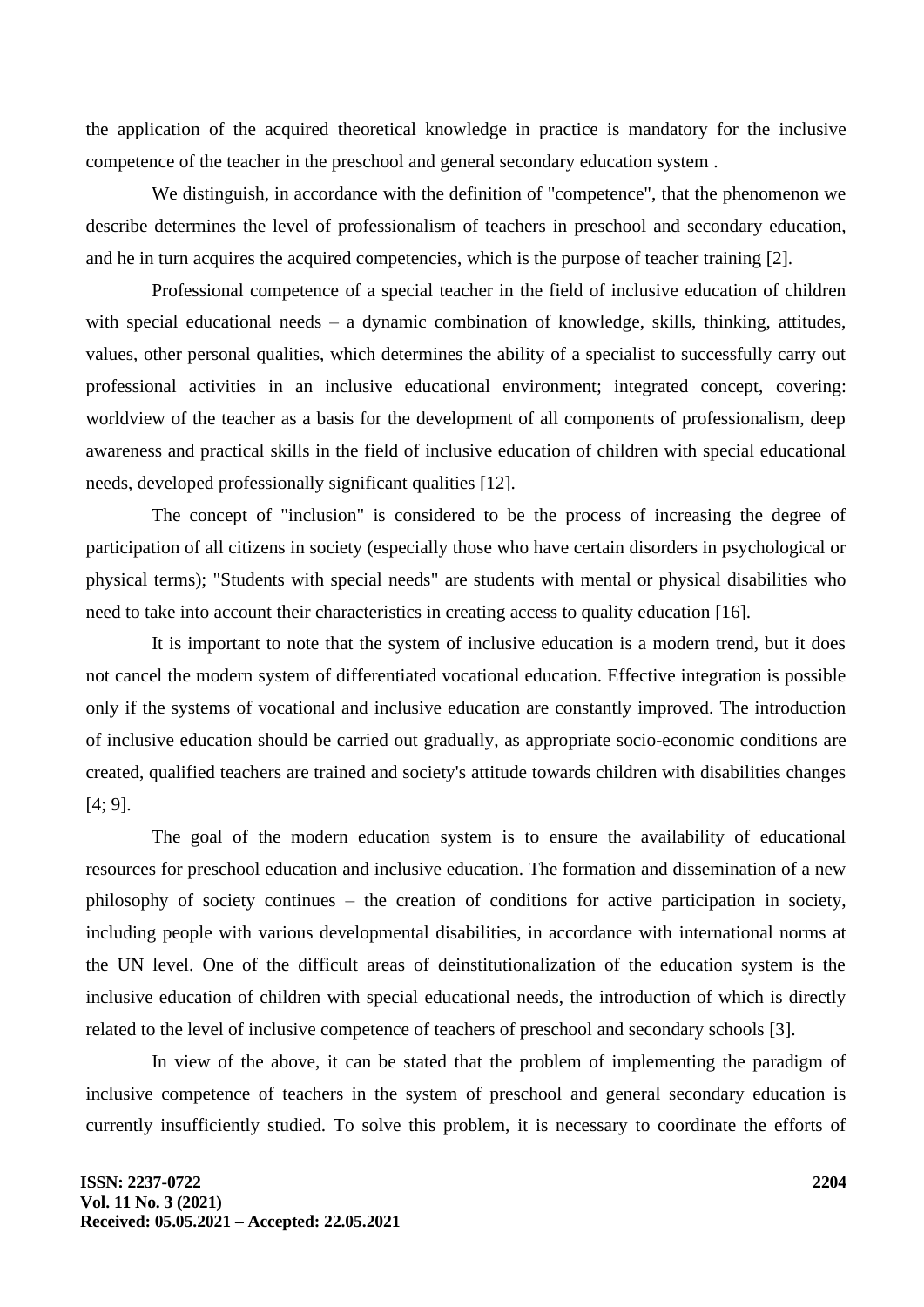the application of the acquired theoretical knowledge in practice is mandatory for the inclusive competence of the teacher in the preschool and general secondary education system .

We distinguish, in accordance with the definition of "competence", that the phenomenon we describe determines the level of professionalism of teachers in preschool and secondary education, and he in turn acquires the acquired competencies, which is the purpose of teacher training [2].

Professional competence of a special teacher in the field of inclusive education of children with special educational needs – a dynamic combination of knowledge, skills, thinking, attitudes, values, other personal qualities, which determines the ability of a specialist to successfully carry out professional activities in an inclusive educational environment; integrated concept, covering: worldview of the teacher as a basis for the development of all components of professionalism, deep awareness and practical skills in the field of inclusive education of children with special educational needs, developed professionally significant qualities [12].

The concept of "inclusion" is considered to be the process of increasing the degree of participation of all citizens in society (especially those who have certain disorders in psychological or physical terms); "Students with special needs" are students with mental or physical disabilities who need to take into account their characteristics in creating access to quality education [16].

It is important to note that the system of inclusive education is a modern trend, but it does not cancel the modern system of differentiated vocational education. Effective integration is possible only if the systems of vocational and inclusive education are constantly improved. The introduction of inclusive education should be carried out gradually, as appropriate socio-economic conditions are created, qualified teachers are trained and society's attitude towards children with disabilities changes [4; 9].

The goal of the modern education system is to ensure the availability of educational resources for preschool education and inclusive education. The formation and dissemination of a new philosophy of society continues – the creation of conditions for active participation in society, including people with various developmental disabilities, in accordance with international norms at the UN level. One of the difficult areas of deinstitutionalization of the education system is the inclusive education of children with special educational needs, the introduction of which is directly related to the level of inclusive competence of teachers of preschool and secondary schools [3].

In view of the above, it can be stated that the problem of implementing the paradigm of inclusive competence of teachers in the system of preschool and general secondary education is currently insufficiently studied. To solve this problem, it is necessary to coordinate the efforts of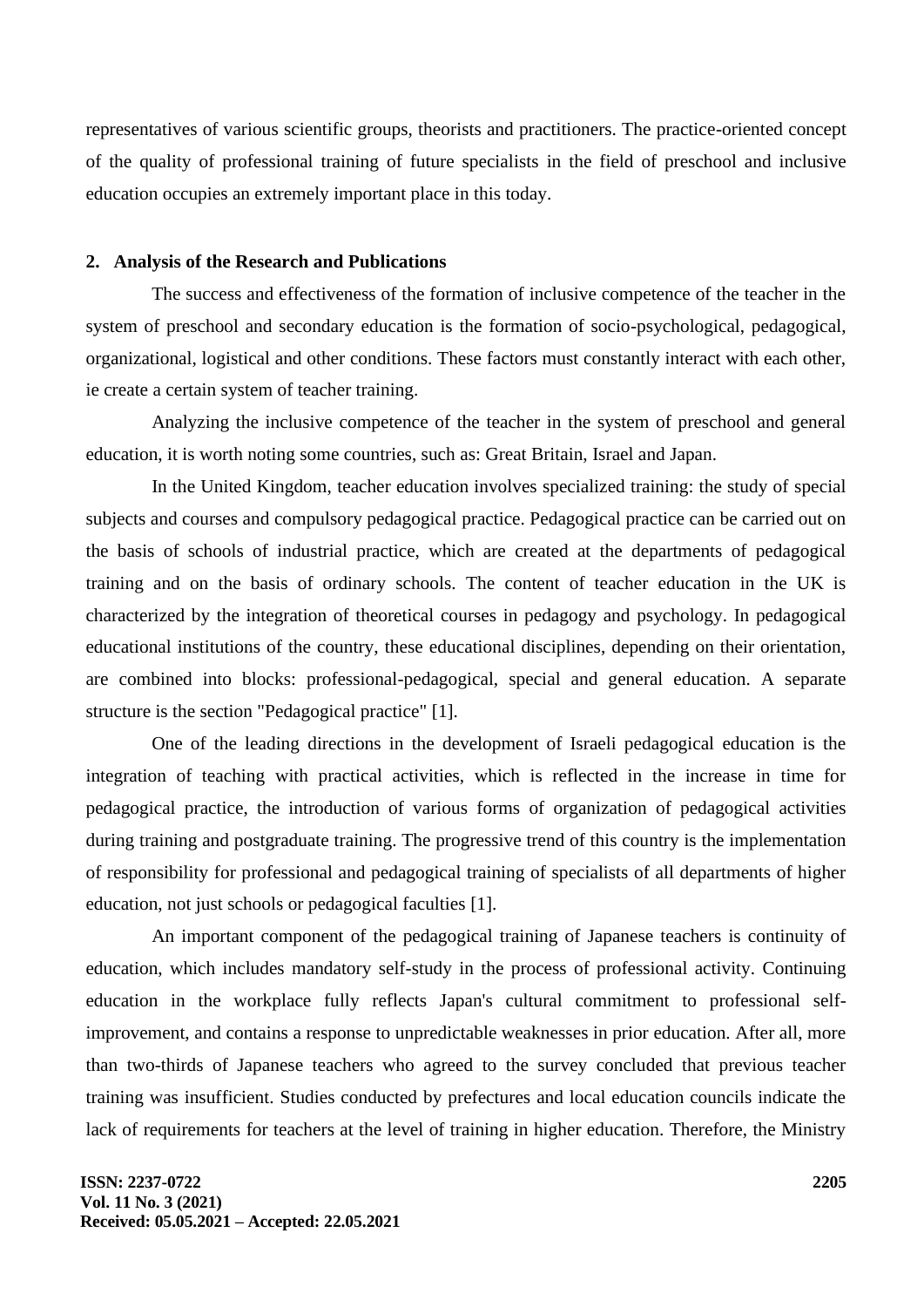representatives of various scientific groups, theorists and practitioners. The practice-oriented concept of the quality of professional training of future specialists in the field of preschool and inclusive education occupies an extremely important place in this today.

#### **2. Analysis of the Research and Publications**

The success and effectiveness of the formation of inclusive competence of the teacher in the system of preschool and secondary education is the formation of socio-psychological, pedagogical, organizational, logistical and other conditions. These factors must constantly interact with each other, ie create a certain system of teacher training.

Analyzing the inclusive competence of the teacher in the system of preschool and general education, it is worth noting some countries, such as: Great Britain, Israel and Japan.

In the United Kingdom, teacher education involves specialized training: the study of special subjects and courses and compulsory pedagogical practice. Pedagogical practice can be carried out on the basis of schools of industrial practice, which are created at the departments of pedagogical training and on the basis of ordinary schools. The content of teacher education in the UK is characterized by the integration of theoretical courses in pedagogy and psychology. In pedagogical educational institutions of the country, these educational disciplines, depending on their orientation, are combined into blocks: professional-pedagogical, special and general education. A separate structure is the section "Pedagogical practice" [1].

One of the leading directions in the development of Israeli pedagogical education is the integration of teaching with practical activities, which is reflected in the increase in time for pedagogical practice, the introduction of various forms of organization of pedagogical activities during training and postgraduate training. The progressive trend of this country is the implementation of responsibility for professional and pedagogical training of specialists of all departments of higher education, not just schools or pedagogical faculties [1].

An important component of the pedagogical training of Japanese teachers is continuity of education, which includes mandatory self-study in the process of professional activity. Continuing education in the workplace fully reflects Japan's cultural commitment to professional selfimprovement, and contains a response to unpredictable weaknesses in prior education. After all, more than two-thirds of Japanese teachers who agreed to the survey concluded that previous teacher training was insufficient. Studies conducted by prefectures and local education councils indicate the lack of requirements for teachers at the level of training in higher education. Therefore, the Ministry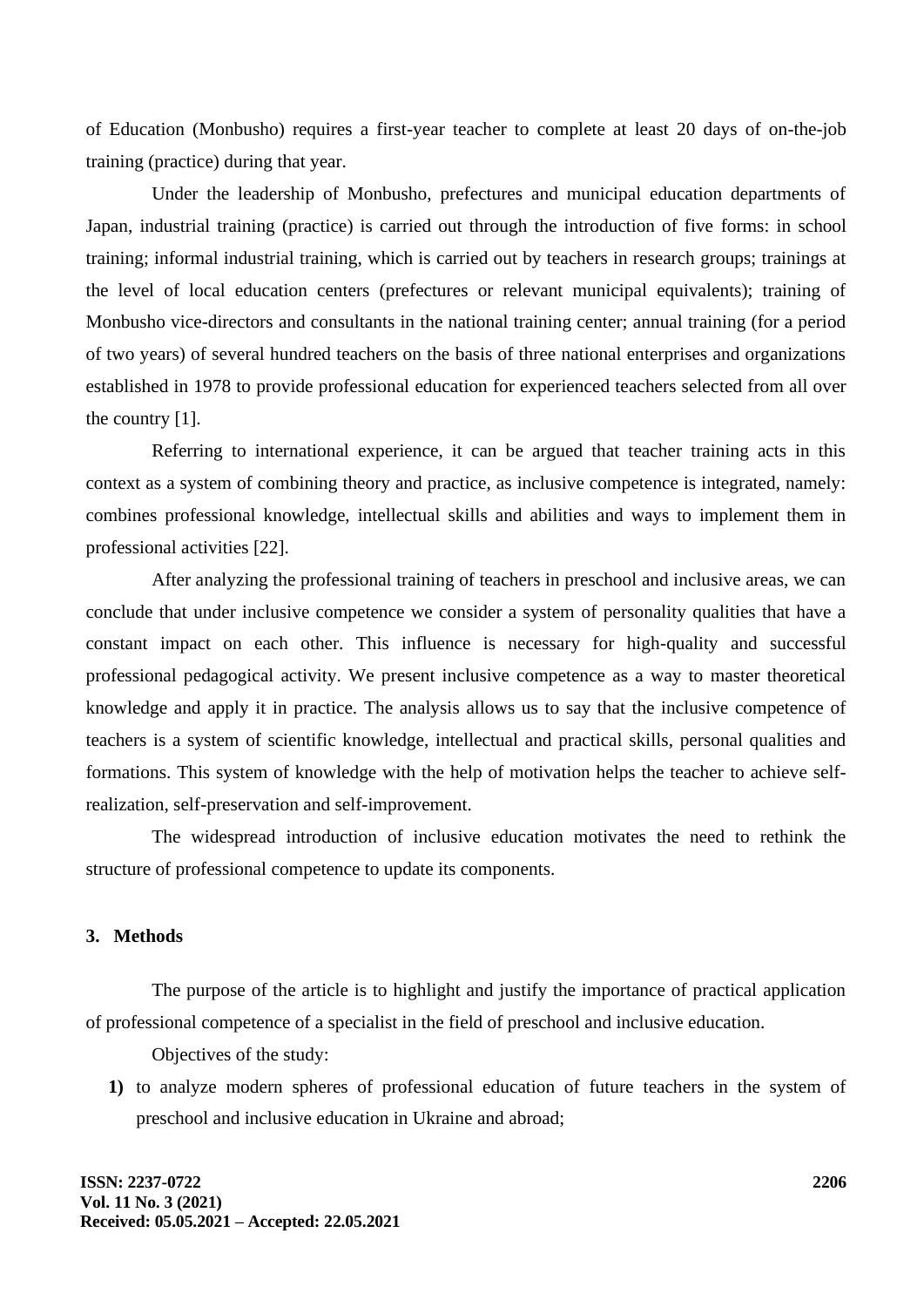of Education (Monbusho) requires a first-year teacher to complete at least 20 days of on-the-job training (practice) during that year.

Under the leadership of Monbusho, prefectures and municipal education departments of Japan, industrial training (practice) is carried out through the introduction of five forms: in school training; informal industrial training, which is carried out by teachers in research groups; trainings at the level of local education centers (prefectures or relevant municipal equivalents); training of Monbusho vice-directors and consultants in the national training center; annual training (for a period of two years) of several hundred teachers on the basis of three national enterprises and organizations established in 1978 to provide professional education for experienced teachers selected from all over the country [1].

Referring to international experience, it can be argued that teacher training acts in this context as a system of combining theory and practice, as inclusive competence is integrated, namely: combines professional knowledge, intellectual skills and abilities and ways to implement them in professional activities [22].

After analyzing the professional training of teachers in preschool and inclusive areas, we can conclude that under inclusive competence we consider a system of personality qualities that have a constant impact on each other. This influence is necessary for high-quality and successful professional pedagogical activity. We present inclusive competence as a way to master theoretical knowledge and apply it in practice. The analysis allows us to say that the inclusive competence of teachers is a system of scientific knowledge, intellectual and practical skills, personal qualities and formations. This system of knowledge with the help of motivation helps the teacher to achieve selfrealization, self-preservation and self-improvement.

The widespread introduction of inclusive education motivates the need to rethink the structure of professional competence to update its components.

#### **3. Methods**

The purpose of the article is to highlight and justify the importance of practical application of professional competence of a specialist in the field of preschool and inclusive education.

Objectives of the study:

**1)** to analyze modern spheres of professional education of future teachers in the system of preschool and inclusive education in Ukraine and abroad;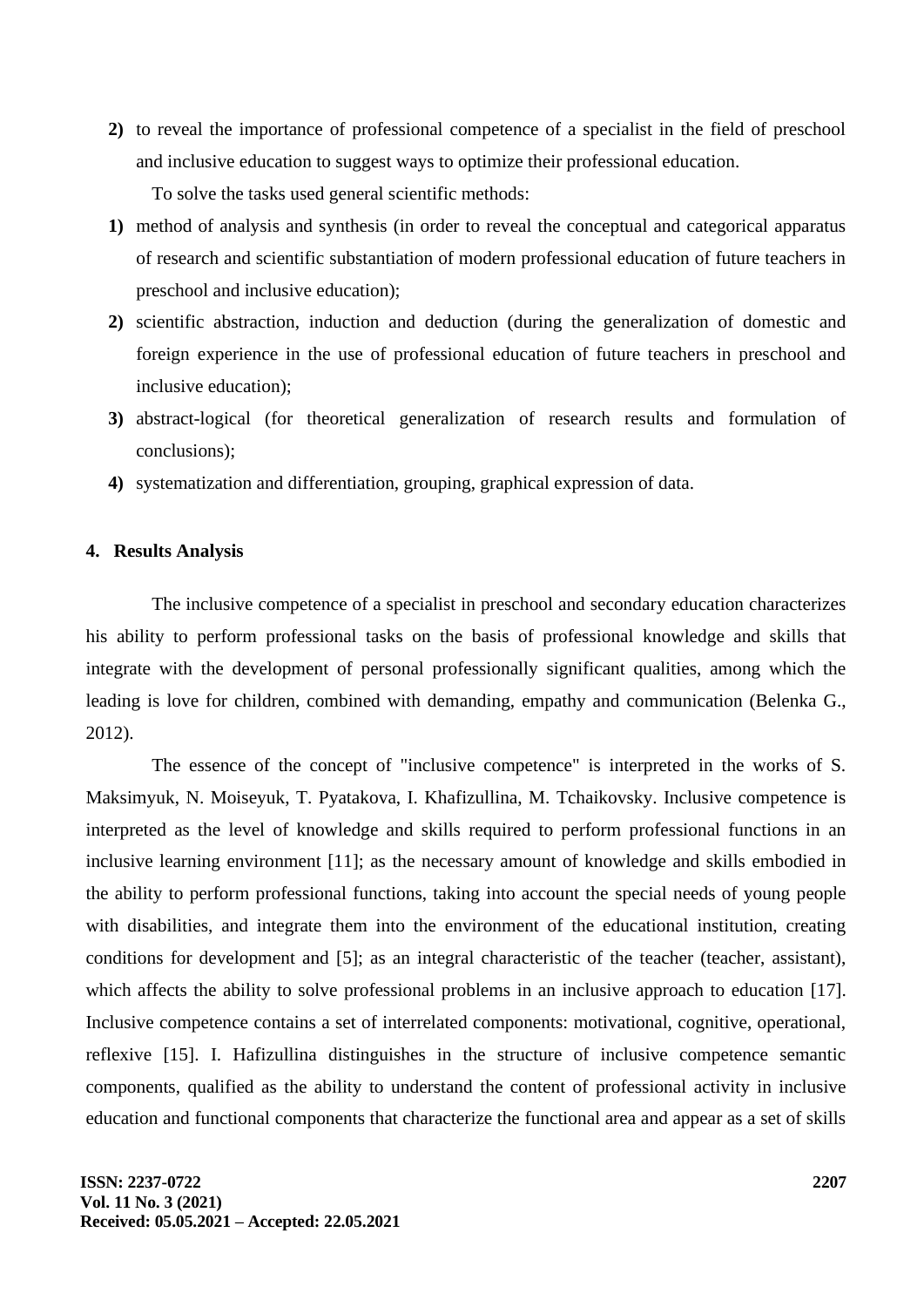- **2)** to reveal the importance of professional competence of a specialist in the field of preschool and inclusive education to suggest ways to optimize their professional education. To solve the tasks used general scientific methods:
- **1)** method of analysis and synthesis (in order to reveal the conceptual and categorical apparatus of research and scientific substantiation of modern professional education of future teachers in preschool and inclusive education);
- **2)** scientific abstraction, induction and deduction (during the generalization of domestic and foreign experience in the use of professional education of future teachers in preschool and inclusive education);
- **3)** abstract-logical (for theoretical generalization of research results and formulation of conclusions);
- **4)** systematization and differentiation, grouping, graphical expression of data.

## **4. Results Analysis**

The inclusive competence of a specialist in preschool and secondary education characterizes his ability to perform professional tasks on the basis of professional knowledge and skills that integrate with the development of personal professionally significant qualities, among which the leading is love for children, combined with demanding, empathy and communication (Belenka G., 2012).

The essence of the concept of "inclusive competence" is interpreted in the works of S. Maksimyuk, N. Moiseyuk, T. Pyatakova, I. Khafizullina, M. Tchaikovsky. Inclusive competence is interpreted as the level of knowledge and skills required to perform professional functions in an inclusive learning environment [11]; as the necessary amount of knowledge and skills embodied in the ability to perform professional functions, taking into account the special needs of young people with disabilities, and integrate them into the environment of the educational institution, creating conditions for development and [5]; as an integral characteristic of the teacher (teacher, assistant), which affects the ability to solve professional problems in an inclusive approach to education [17]. Inclusive competence contains a set of interrelated components: motivational, cognitive, operational, reflexive [15]. I. Hafizullina distinguishes in the structure of inclusive competence semantic components, qualified as the ability to understand the content of professional activity in inclusive education and functional components that characterize the functional area and appear as a set of skills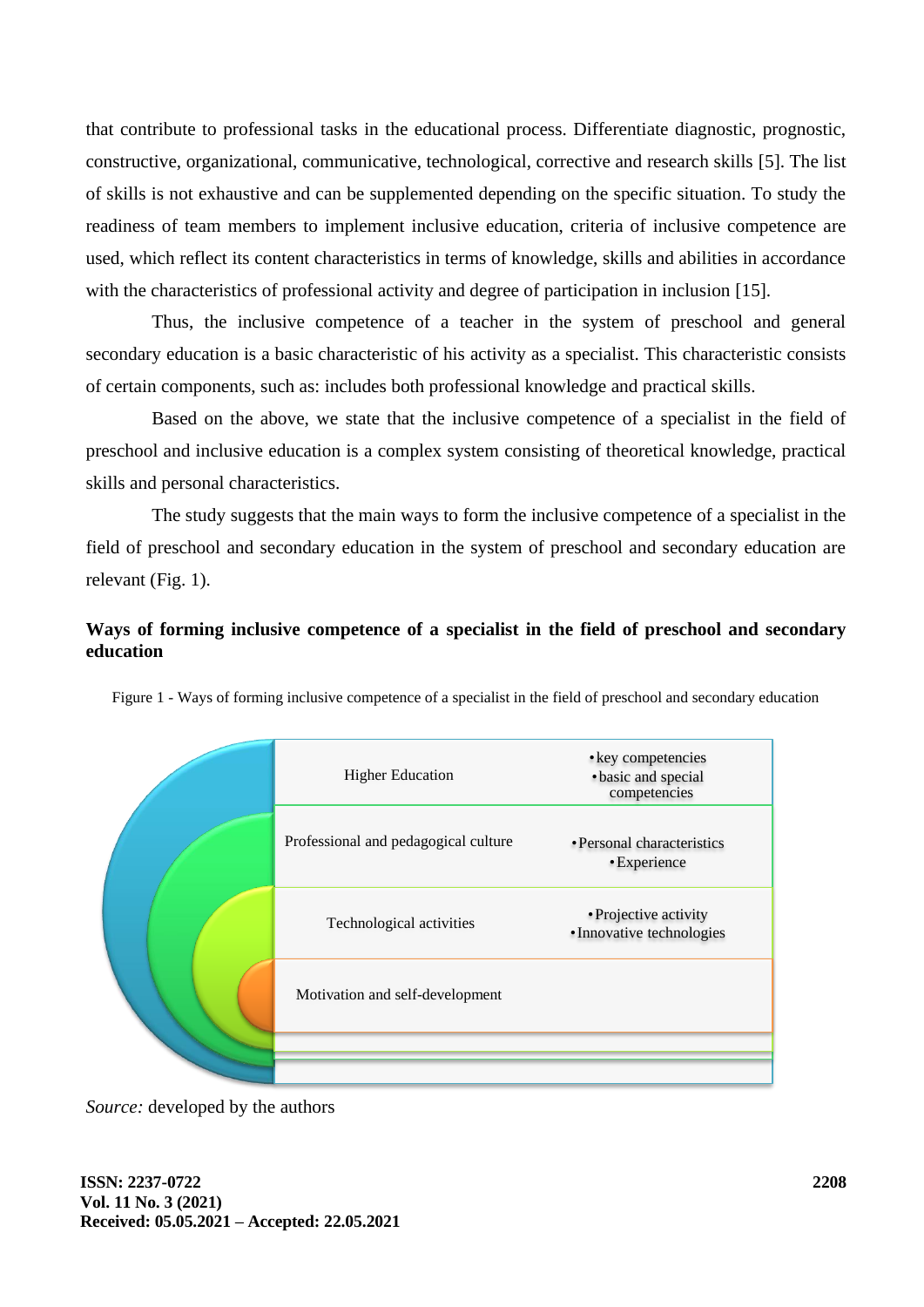that contribute to professional tasks in the educational process. Differentiate diagnostic, prognostic, constructive, organizational, communicative, technological, corrective and research skills [5]. The list of skills is not exhaustive and can be supplemented depending on the specific situation. To study the readiness of team members to implement inclusive education, criteria of inclusive competence are used, which reflect its content characteristics in terms of knowledge, skills and abilities in accordance with the characteristics of professional activity and degree of participation in inclusion [15].

Thus, the inclusive competence of a teacher in the system of preschool and general secondary education is a basic characteristic of his activity as a specialist. This characteristic consists of certain components, such as: includes both professional knowledge and practical skills.

Based on the above, we state that the inclusive competence of a specialist in the field of preschool and inclusive education is a complex system consisting of theoretical knowledge, practical skills and personal characteristics.

The study suggests that the main ways to form the inclusive competence of a specialist in the field of preschool and secondary education in the system of preschool and secondary education are relevant (Fig. 1).

## **Ways of forming inclusive competence of a specialist in the field of preschool and secondary education**

|  | <b>Higher Education</b>              | • key competencies<br>· basic and special<br>competencies |
|--|--------------------------------------|-----------------------------------------------------------|
|  | Professional and pedagogical culture | • Personal characteristics<br>• Experience                |
|  | Technological activities             | • Projective activity<br>• Innovative technologies        |
|  | Motivation and self-development      |                                                           |
|  |                                      |                                                           |

Figure 1 - Ways of forming inclusive competence of a specialist in the field of preschool and secondary education

*Source:* developed by the authors

**ISSN: 2237-0722 Vol. 11 No. 3 (2021) Received: 05.05.2021 – Accepted: 22.05.2021**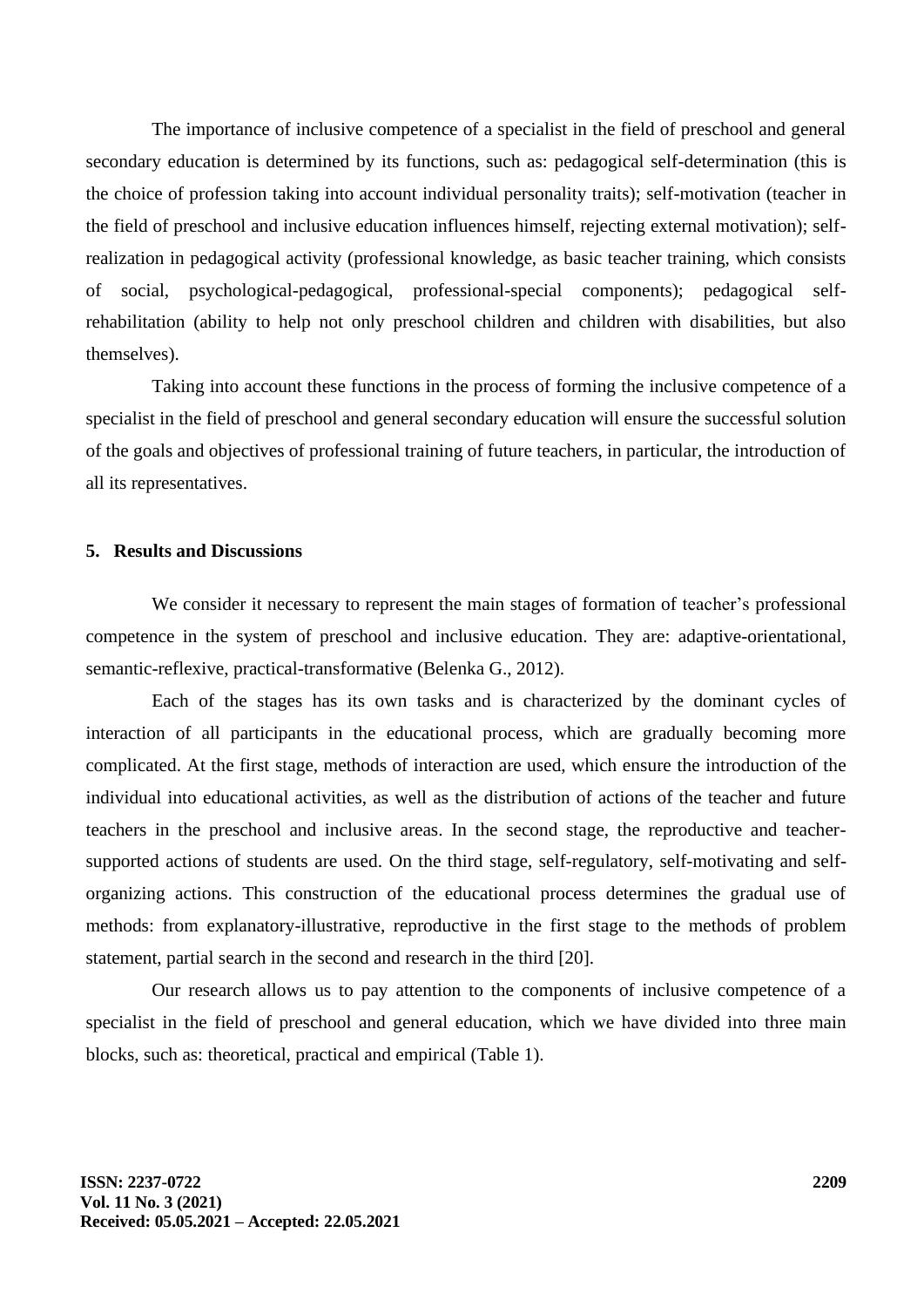The importance of inclusive competence of a specialist in the field of preschool and general secondary education is determined by its functions, such as: pedagogical self-determination (this is the choice of profession taking into account individual personality traits); self-motivation (teacher in the field of preschool and inclusive education influences himself, rejecting external motivation); selfrealization in pedagogical activity (professional knowledge, as basic teacher training, which consists of social, psychological-pedagogical, professional-special components); pedagogical selfrehabilitation (ability to help not only preschool children and children with disabilities, but also themselves).

Taking into account these functions in the process of forming the inclusive competence of a specialist in the field of preschool and general secondary education will ensure the successful solution of the goals and objectives of professional training of future teachers, in particular, the introduction of all its representatives.

### **5. Results and Discussions**

We consider it necessary to represent the main stages of formation of teacher's professional competence in the system of preschool and inclusive education. They are: adaptive-orientational, semantic-reflexive, practical-transformative (Belenka G., 2012).

Each of the stages has its own tasks and is characterized by the dominant cycles of interaction of all participants in the educational process, which are gradually becoming more complicated. At the first stage, methods of interaction are used, which ensure the introduction of the individual into educational activities, as well as the distribution of actions of the teacher and future teachers in the preschool and inclusive areas. In the second stage, the reproductive and teachersupported actions of students are used. On the third stage, self-regulatory, self-motivating and selforganizing actions. This construction of the educational process determines the gradual use of methods: from explanatory-illustrative, reproductive in the first stage to the methods of problem statement, partial search in the second and research in the third [20].

Our research allows us to pay attention to the components of inclusive competence of a specialist in the field of preschool and general education, which we have divided into three main blocks, such as: theoretical, practical and empirical (Table 1).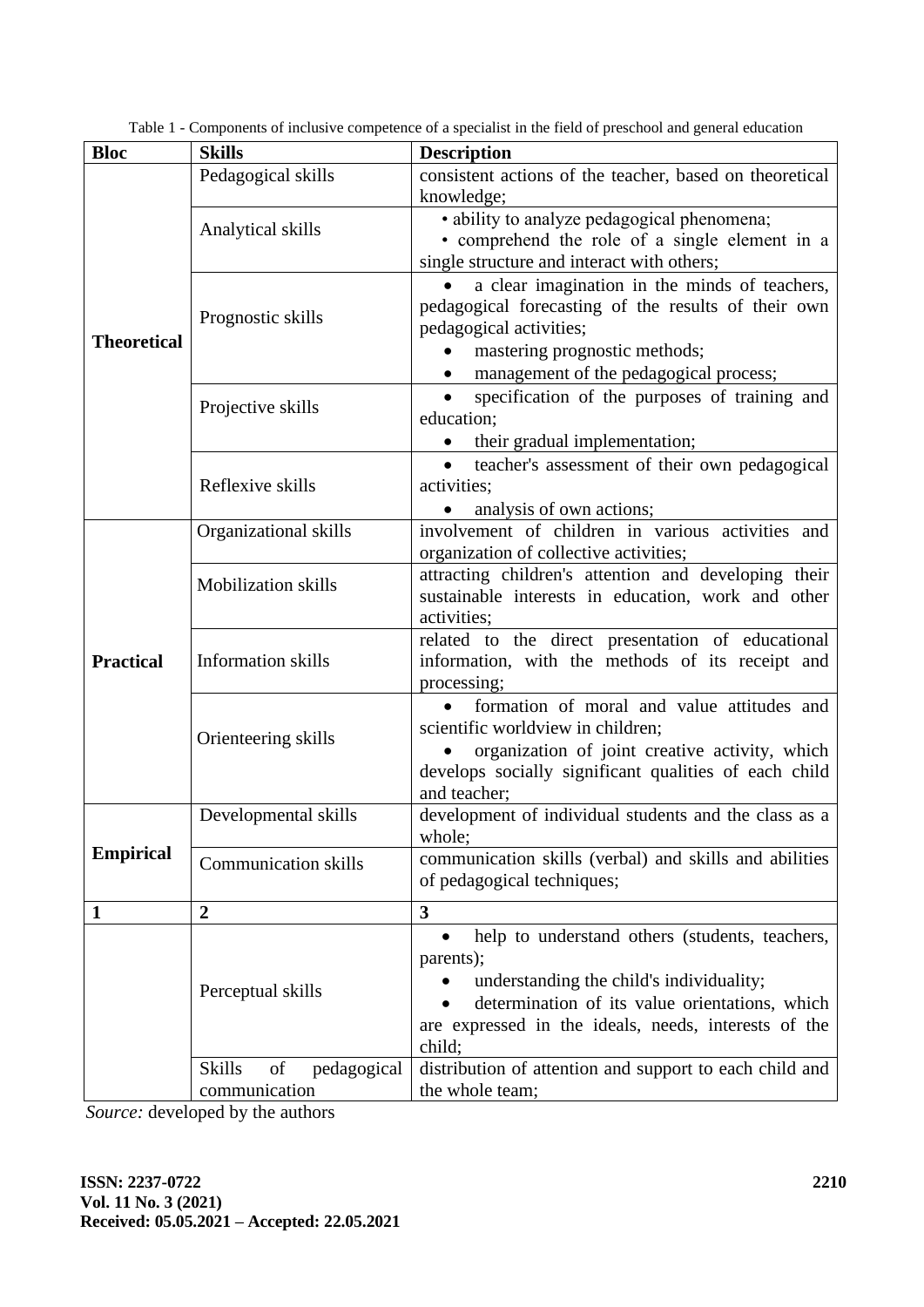| <b>Bloc</b>        | <b>Skills</b>                      | <b>Description</b>                                         |
|--------------------|------------------------------------|------------------------------------------------------------|
|                    | Pedagogical skills                 | consistent actions of the teacher, based on theoretical    |
|                    |                                    | knowledge;                                                 |
|                    |                                    | · ability to analyze pedagogical phenomena;                |
|                    | Analytical skills                  | · comprehend the role of a single element in a             |
|                    |                                    | single structure and interact with others;                 |
|                    |                                    | a clear imagination in the minds of teachers,              |
|                    |                                    | pedagogical forecasting of the results of their own        |
| <b>Theoretical</b> | Prognostic skills                  | pedagogical activities;                                    |
|                    |                                    | mastering prognostic methods;                              |
|                    |                                    | management of the pedagogical process;                     |
|                    |                                    | specification of the purposes of training and              |
|                    | Projective skills                  | education;                                                 |
|                    |                                    | their gradual implementation;                              |
|                    |                                    | teacher's assessment of their own pedagogical<br>$\bullet$ |
|                    | Reflexive skills                   | activities;                                                |
|                    |                                    | analysis of own actions;                                   |
|                    | Organizational skills              | involvement of children in various activities and          |
|                    |                                    | organization of collective activities;                     |
|                    |                                    | attracting children's attention and developing their       |
|                    | Mobilization skills                | sustainable interests in education, work and other         |
|                    |                                    | activities;                                                |
|                    |                                    | related to the direct presentation of educational          |
| <b>Practical</b>   | <b>Information</b> skills          | information, with the methods of its receipt and           |
|                    |                                    | processing;                                                |
|                    |                                    | formation of moral and value attitudes and                 |
|                    |                                    | scientific worldview in children;                          |
|                    | Orienteering skills                | organization of joint creative activity, which             |
|                    |                                    | develops socially significant qualities of each child      |
|                    |                                    | and teacher;                                               |
| <b>Empirical</b>   | Developmental skills               | development of individual students and the class as a      |
|                    |                                    | whole;                                                     |
|                    | <b>Communication skills</b>        | communication skills (verbal) and skills and abilities     |
|                    |                                    | of pedagogical techniques;                                 |
| 1                  | $\boldsymbol{2}$                   | 3                                                          |
|                    |                                    | help to understand others (students, teachers,             |
|                    |                                    | parents);                                                  |
|                    |                                    | understanding the child's individuality;                   |
|                    | Perceptual skills                  | determination of its value orientations, which             |
|                    |                                    | are expressed in the ideals, needs, interests of the       |
|                    |                                    | child;                                                     |
|                    | <b>Skills</b><br>pedagogical<br>of | distribution of attention and support to each child and    |
|                    | communication                      | the whole team;                                            |

Table 1 - Components of inclusive competence of a specialist in the field of preschool and general education

*Source:* developed by the authors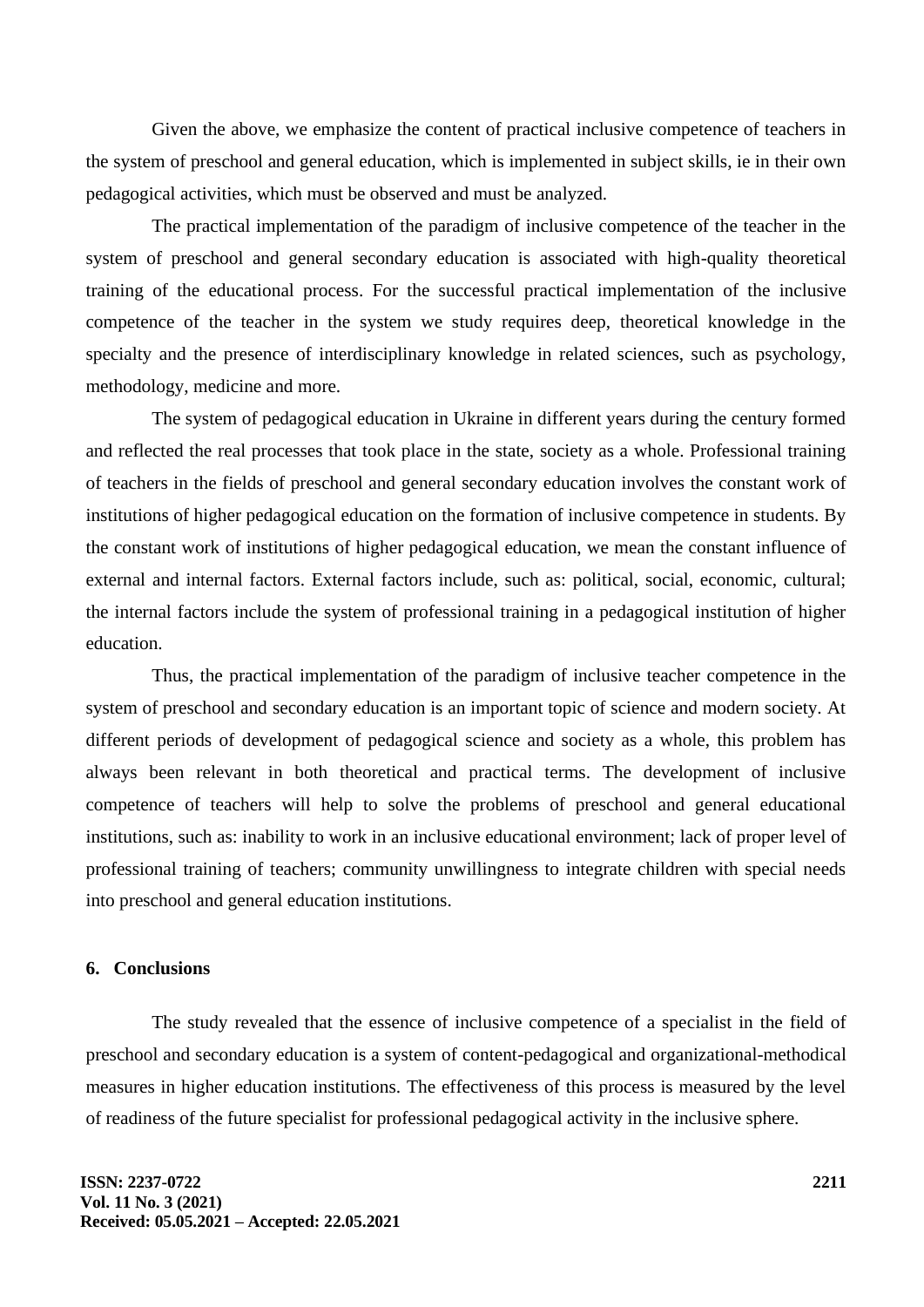Given the above, we emphasize the content of practical inclusive competence of teachers in the system of preschool and general education, which is implemented in subject skills, ie in their own pedagogical activities, which must be observed and must be analyzed.

The practical implementation of the paradigm of inclusive competence of the teacher in the system of preschool and general secondary education is associated with high-quality theoretical training of the educational process. For the successful practical implementation of the inclusive competence of the teacher in the system we study requires deep, theoretical knowledge in the specialty and the presence of interdisciplinary knowledge in related sciences, such as psychology, methodology, medicine and more.

The system of pedagogical education in Ukraine in different years during the century formed and reflected the real processes that took place in the state, society as a whole. Professional training of teachers in the fields of preschool and general secondary education involves the constant work of institutions of higher pedagogical education on the formation of inclusive competence in students. By the constant work of institutions of higher pedagogical education, we mean the constant influence of external and internal factors. External factors include, such as: political, social, economic, cultural; the internal factors include the system of professional training in a pedagogical institution of higher education.

Thus, the practical implementation of the paradigm of inclusive teacher competence in the system of preschool and secondary education is an important topic of science and modern society. At different periods of development of pedagogical science and society as a whole, this problem has always been relevant in both theoretical and practical terms. The development of inclusive competence of teachers will help to solve the problems of preschool and general educational institutions, such as: inability to work in an inclusive educational environment; lack of proper level of professional training of teachers; community unwillingness to integrate children with special needs into preschool and general education institutions.

## **6. Conclusions**

The study revealed that the essence of inclusive competence of a specialist in the field of preschool and secondary education is a system of content-pedagogical and organizational-methodical measures in higher education institutions. The effectiveness of this process is measured by the level of readiness of the future specialist for professional pedagogical activity in the inclusive sphere.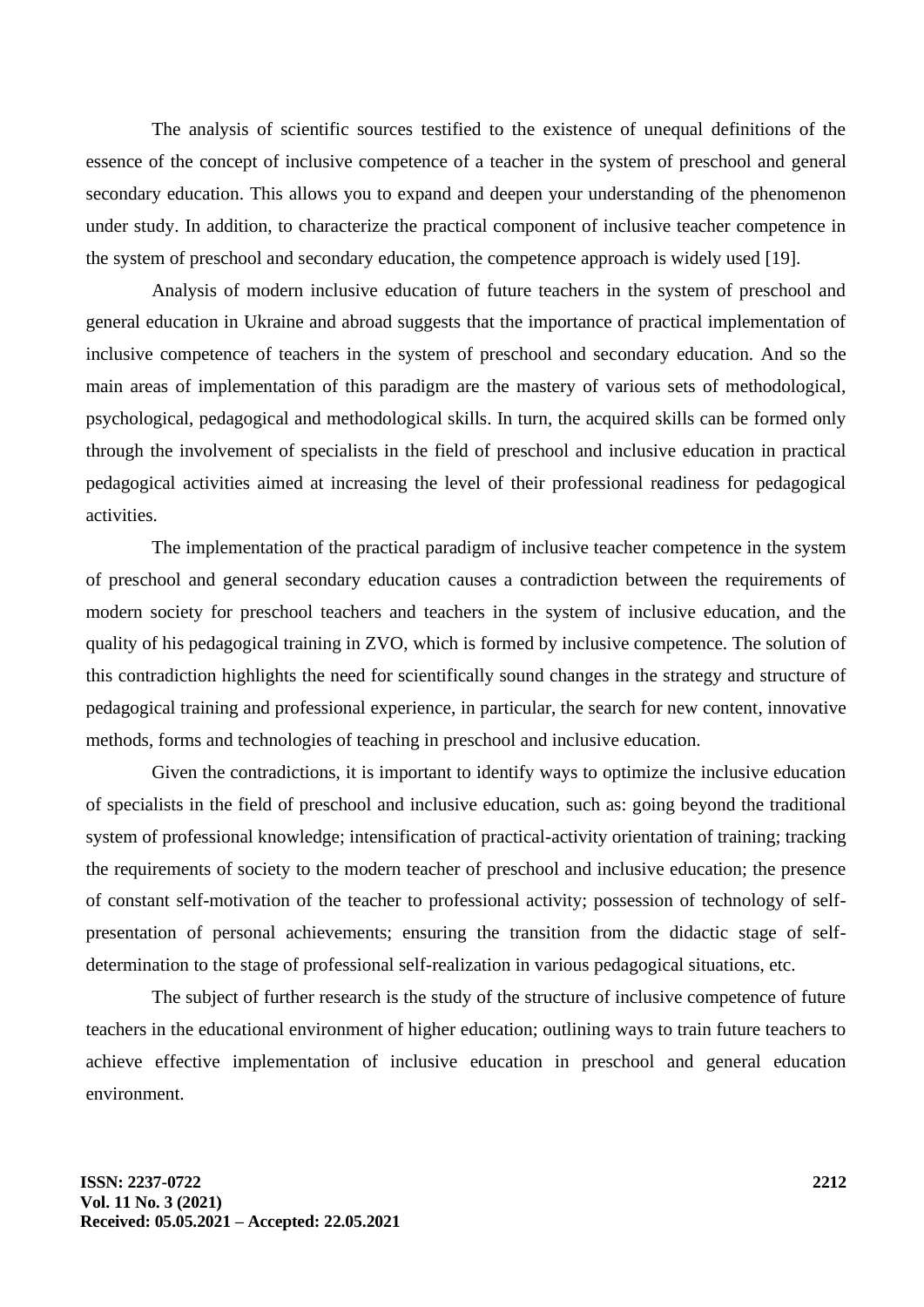The analysis of scientific sources testified to the existence of unequal definitions of the essence of the concept of inclusive competence of a teacher in the system of preschool and general secondary education. This allows you to expand and deepen your understanding of the phenomenon under study. In addition, to characterize the practical component of inclusive teacher competence in the system of preschool and secondary education, the competence approach is widely used [19].

Analysis of modern inclusive education of future teachers in the system of preschool and general education in Ukraine and abroad suggests that the importance of practical implementation of inclusive competence of teachers in the system of preschool and secondary education. And so the main areas of implementation of this paradigm are the mastery of various sets of methodological, psychological, pedagogical and methodological skills. In turn, the acquired skills can be formed only through the involvement of specialists in the field of preschool and inclusive education in practical pedagogical activities aimed at increasing the level of their professional readiness for pedagogical activities.

The implementation of the practical paradigm of inclusive teacher competence in the system of preschool and general secondary education causes a contradiction between the requirements of modern society for preschool teachers and teachers in the system of inclusive education, and the quality of his pedagogical training in ZVO, which is formed by inclusive competence. The solution of this contradiction highlights the need for scientifically sound changes in the strategy and structure of pedagogical training and professional experience, in particular, the search for new content, innovative methods, forms and technologies of teaching in preschool and inclusive education.

Given the contradictions, it is important to identify ways to optimize the inclusive education of specialists in the field of preschool and inclusive education, such as: going beyond the traditional system of professional knowledge; intensification of practical-activity orientation of training; tracking the requirements of society to the modern teacher of preschool and inclusive education; the presence of constant self-motivation of the teacher to professional activity; possession of technology of selfpresentation of personal achievements; ensuring the transition from the didactic stage of selfdetermination to the stage of professional self-realization in various pedagogical situations, etc.

The subject of further research is the study of the structure of inclusive competence of future teachers in the educational environment of higher education; outlining ways to train future teachers to achieve effective implementation of inclusive education in preschool and general education environment.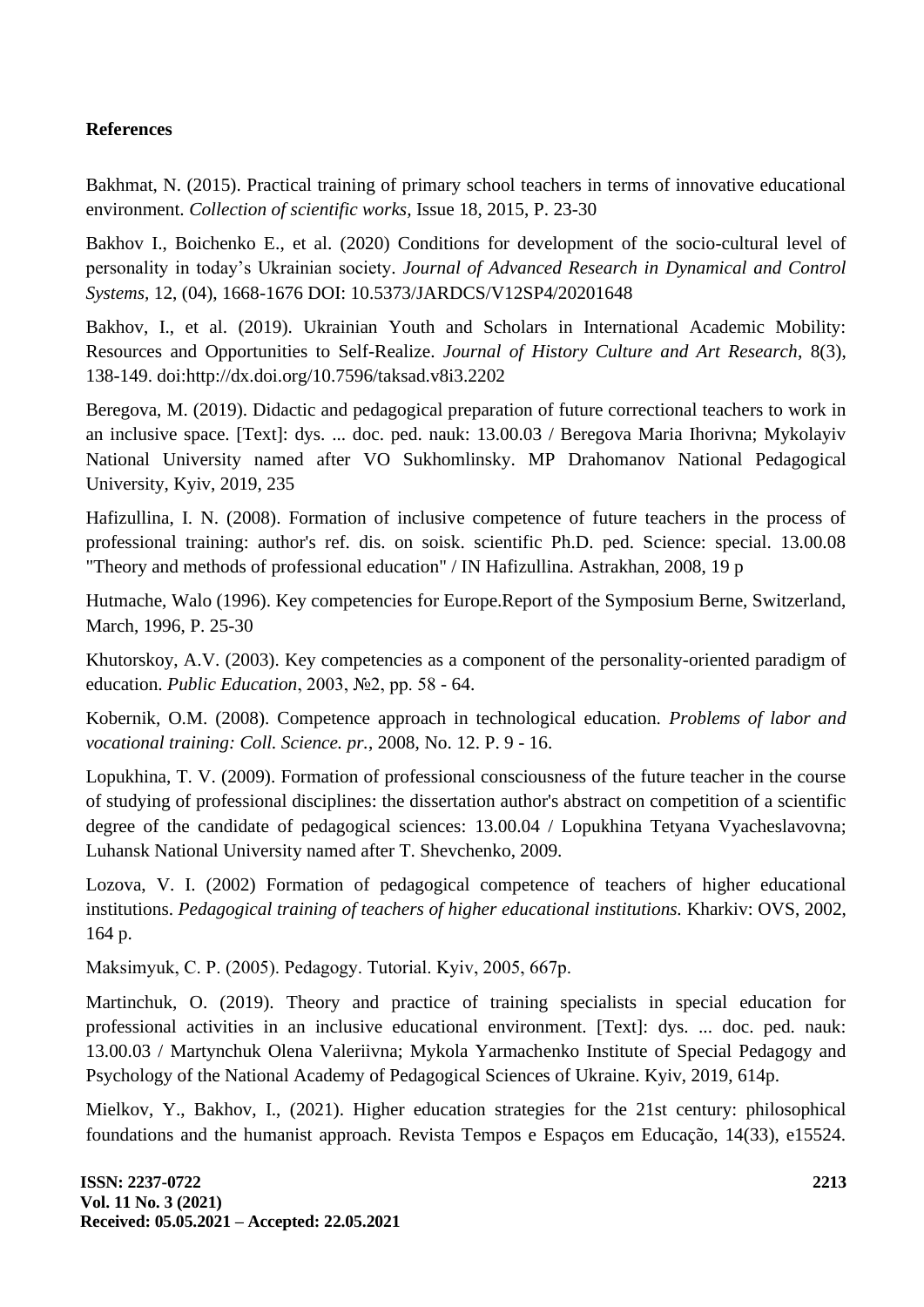## **References**

Bakhmat, N. (2015). Practical training of primary school teachers in terms of innovative educational environment. *Collection of scientific works,* Issue 18, 2015, P. 23-30

Bakhov I., Boichenko E., et al. (2020) Conditions for development of the socio-cultural level of personality in today's Ukrainian society. *Journal of Advanced Research in Dynamical and Control Systems,* 12, (04), 1668-1676 DOI: [10.5373/JARDCS/V12SP4/20201648](http://doi.org/10.5373/JARDCS/V12SP4/20201648)

Bakhov, I., et al. (2019). Ukrainian Youth and Scholars in International Academic Mobility: Resources and Opportunities to Self-Realize. *Journal of History Culture and Art Research*, 8(3), 138-149. doi:http://dx.doi.org/10.7596/taksad.v8i3.2202

Beregova, M. (2019). Didactic and pedagogical preparation of future correctional teachers to work in an inclusive space. [Text]: dys. ... doc. ped. nauk: 13.00.03 / Beregova Maria Ihorivna; Mykolayiv National University named after VO Sukhomlinsky. MP Drahomanov National Pedagogical University, Kyiv, 2019, 235

Hafizullina, I. N. (2008). Formation of inclusive competence of future teachers in the process of professional training: author's ref. dis. on soisk. scientific Ph.D. ped. Science: special. 13.00.08 "Theory and methods of professional education" / IN Hafizullina. Astrakhan, 2008, 19 p

Hutmache, Walo (1996). Key competencies for Europe.Report of the Symposium Berne, Switzerland, March, 1996, P. 25-30

Khutorskoy, A.V. (2003). Key competencies as a component of the personality-oriented paradigm of education. *Public Education*, 2003, №2, pp. 58 - 64.

Kobernik, O.M. (2008). Competence approach in technological education. *Problems of labor and vocational training: Coll. Science. pr.*, 2008, No. 12. P. 9 - 16.

Lopukhina, T. V. (2009). Formation of professional consciousness of the future teacher in the course of studying of professional disciplines: the dissertation author's abstract on competition of a scientific degree of the candidate of pedagogical sciences: 13.00.04 / Lopukhina Tetyana Vyacheslavovna; Luhansk National University named after T. Shevchenko, 2009.

Lozova, V. I. (2002) Formation of pedagogical competence of teachers of higher educational institutions. *Pedagogical training of teachers of higher educational institutions.* Kharkiv: OVS, 2002, 164 p.

Maksimyuk, С. P. (2005). Pedagogy. Tutorial. Kyiv, 2005, 667p.

Martinchuk, O. (2019). Theory and practice of training specialists in special education for professional activities in an inclusive educational environment. [Text]: dys. ... doc. ped. nauk: 13.00.03 / Martynchuk Olena Valeriivna; Mykola Yarmachenko Institute of Special Pedagogy and Psychology of the National Academy of Pedagogical Sciences of Ukraine. Kyiv, 2019, 614p.

Mielkov, Y., Bakhov, I., (2021). Higher education strategies for the 21st century: philosophical foundations and the humanist approach. Revista Tempos e Espaços em Educação, 14(33), e15524.